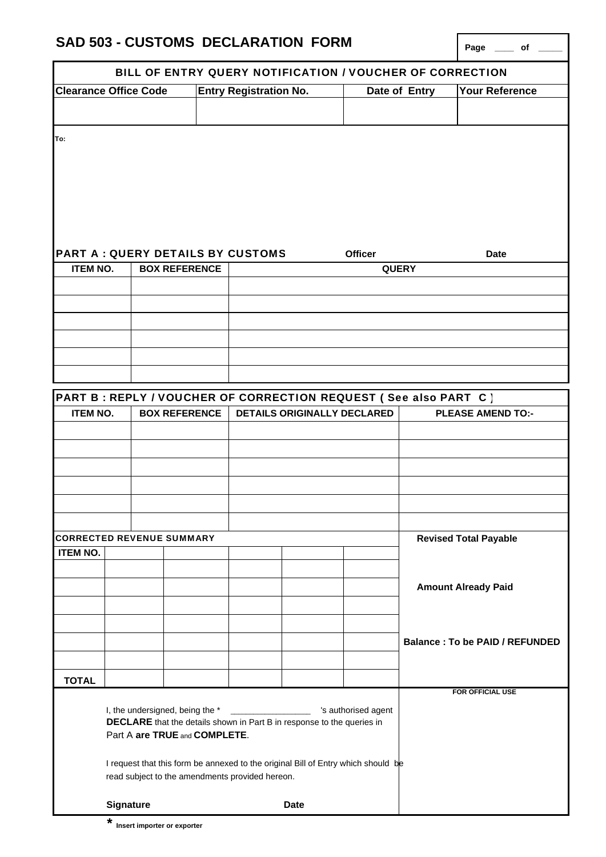|                                                                 | SAD 503 - CUSTOMS DECLARATION FORM                                                                                                                                                                                                                                                                               |  |                               |  |                                |                                                                    |               |                              | Page _____ of _____                   |
|-----------------------------------------------------------------|------------------------------------------------------------------------------------------------------------------------------------------------------------------------------------------------------------------------------------------------------------------------------------------------------------------|--|-------------------------------|--|--------------------------------|--------------------------------------------------------------------|---------------|------------------------------|---------------------------------------|
|                                                                 |                                                                                                                                                                                                                                                                                                                  |  |                               |  |                                | BILL OF ENTRY QUERY NOTIFICATION / VOUCHER OF CORRECTION           |               |                              |                                       |
| <b>Clearance Office Code</b>                                    |                                                                                                                                                                                                                                                                                                                  |  | <b>Entry Registration No.</b> |  |                                |                                                                    | Date of Entry | Your Reference               |                                       |
|                                                                 |                                                                                                                                                                                                                                                                                                                  |  |                               |  |                                |                                                                    |               |                              |                                       |
| To:                                                             |                                                                                                                                                                                                                                                                                                                  |  |                               |  |                                |                                                                    |               |                              |                                       |
| <b>PART A: QUERY DETAILS BY CUSTOMS</b><br><b>BOX REFERENCE</b> |                                                                                                                                                                                                                                                                                                                  |  |                               |  | <b>Officer</b><br><b>QUERY</b> |                                                                    |               |                              | <b>Date</b>                           |
| <b>ITEM NO.</b>                                                 |                                                                                                                                                                                                                                                                                                                  |  |                               |  |                                |                                                                    |               |                              |                                       |
|                                                                 |                                                                                                                                                                                                                                                                                                                  |  |                               |  |                                |                                                                    |               |                              |                                       |
|                                                                 |                                                                                                                                                                                                                                                                                                                  |  |                               |  |                                |                                                                    |               |                              |                                       |
|                                                                 |                                                                                                                                                                                                                                                                                                                  |  |                               |  |                                |                                                                    |               |                              |                                       |
|                                                                 |                                                                                                                                                                                                                                                                                                                  |  |                               |  |                                |                                                                    |               |                              |                                       |
|                                                                 |                                                                                                                                                                                                                                                                                                                  |  |                               |  |                                |                                                                    |               |                              |                                       |
|                                                                 |                                                                                                                                                                                                                                                                                                                  |  |                               |  |                                | PART B : REPLY / VOUCHER OF CORRECTION REQUEST ( See also PART C ) |               |                              |                                       |
| <b>ITEM NO.</b>                                                 |                                                                                                                                                                                                                                                                                                                  |  | <b>BOX REFERENCE</b>          |  |                                | <b>DETAILS ORIGINALLY DECLARED</b>                                 |               |                              | <b>PLEASE AMEND TO:-</b>              |
|                                                                 |                                                                                                                                                                                                                                                                                                                  |  |                               |  |                                |                                                                    |               |                              |                                       |
|                                                                 |                                                                                                                                                                                                                                                                                                                  |  |                               |  |                                |                                                                    |               |                              |                                       |
|                                                                 |                                                                                                                                                                                                                                                                                                                  |  |                               |  |                                |                                                                    |               |                              |                                       |
|                                                                 |                                                                                                                                                                                                                                                                                                                  |  |                               |  |                                |                                                                    |               |                              |                                       |
|                                                                 |                                                                                                                                                                                                                                                                                                                  |  |                               |  |                                |                                                                    |               |                              |                                       |
|                                                                 |                                                                                                                                                                                                                                                                                                                  |  |                               |  |                                |                                                                    |               |                              |                                       |
| <b>CORRECTED REVENUE SUMMARY</b>                                |                                                                                                                                                                                                                                                                                                                  |  |                               |  |                                |                                                                    |               | <b>Revised Total Payable</b> |                                       |
| <b>ITEM NO.</b>                                                 |                                                                                                                                                                                                                                                                                                                  |  |                               |  |                                |                                                                    |               |                              |                                       |
|                                                                 |                                                                                                                                                                                                                                                                                                                  |  |                               |  |                                |                                                                    |               |                              |                                       |
|                                                                 |                                                                                                                                                                                                                                                                                                                  |  |                               |  |                                |                                                                    |               |                              | <b>Amount Already Paid</b>            |
|                                                                 |                                                                                                                                                                                                                                                                                                                  |  |                               |  |                                |                                                                    |               |                              |                                       |
|                                                                 |                                                                                                                                                                                                                                                                                                                  |  |                               |  |                                |                                                                    |               |                              |                                       |
|                                                                 |                                                                                                                                                                                                                                                                                                                  |  |                               |  |                                |                                                                    |               |                              | <b>Balance: To be PAID / REFUNDED</b> |
|                                                                 |                                                                                                                                                                                                                                                                                                                  |  |                               |  |                                |                                                                    |               |                              |                                       |
| <b>TOTAL</b>                                                    |                                                                                                                                                                                                                                                                                                                  |  |                               |  |                                |                                                                    |               |                              | <b>FOR OFFICIAL USE</b>               |
|                                                                 | I, the undersigned, being the *<br>'s authorised agent<br><b>DECLARE</b> that the details shown in Part B in response to the queries in<br>Part A are TRUE and COMPLETE.<br>I request that this form be annexed to the original Bill of Entry which should be<br>read subject to the amendments provided hereon. |  |                               |  |                                |                                                                    |               |                              |                                       |
|                                                                 |                                                                                                                                                                                                                                                                                                                  |  |                               |  |                                |                                                                    |               |                              |                                       |
|                                                                 | <b>Signature</b>                                                                                                                                                                                                                                                                                                 |  |                               |  |                                | <b>Date</b>                                                        |               |                              |                                       |

**SAD 503 - CUSTOMS DECLARATION FORM** 

**\* Insert importer or exporter**